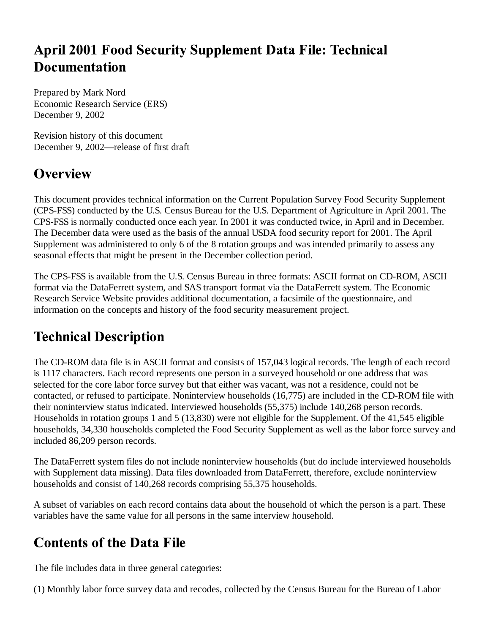## **April 2001 Food Security Supplement Data File: Technical Documentation**

Prepared by Mark Nord Economic Research Service (ERS) December 9, 2002

Revision history of this document December 9, 2002—release of first draft

#### **Overview**

This document provides technical information on the Current Population Survey Food Security Supplement (CPS-FSS) conducted by the U.S. Census Bureau for the U.S. Department of Agriculture in April 2001. The CPS-FSS is normally conducted once each year. In 2001 it was conducted twice, in April and in December. The December data were used as the basis of the annual USDA food security report for 2001. The April Supplement was administered to only 6 of the 8 rotation groups and was intended primarily to assess any seasonal effects that might be present in the December collection period.

The CPS-FSS is available from the U.S. Census Bureau in three formats: ASCII format on CD-ROM, ASCII format via the DataFerrett system, and SAS transport format via the DataFerrett system. The Economic Research Service Website provides additional documentation, a facsimile of the questionnaire, and information on the concepts and history of the food security measurement project.

# **Technical Description**

The CD-ROM data file is in ASCII format and consists of 157,043 logical records. The length of each record is 1117 characters. Each record represents one person in a surveyed household or one address that was selected for the core labor force survey but that either was vacant, was not a residence, could not be contacted, or refused to participate. Noninterview households (16,775) are included in the CD-ROM file with their noninterview status indicated. Interviewed households (55,375) include 140,268 person records. Households in rotation groups 1 and 5 (13,830) were not eligible for the Supplement. Of the 41,545 eligible households, 34,330 households completed the Food Security Supplement as well as the labor force survey and included 86,209 person records.

The DataFerrett system files do not include noninterview households (but do include interviewed households with Supplement data missing). Data files downloaded from DataFerrett, therefore, exclude noninterview households and consist of 140,268 records comprising 55,375 households.

A subset of variables on each record contains data about the household of which the person is a part. These variables have the same value for all persons in the same interview household.

# **Contents of the Data File**

The file includes data in three general categories:

(1) Monthly labor force survey data and recodes, collected by the Census Bureau for the Bureau of Labor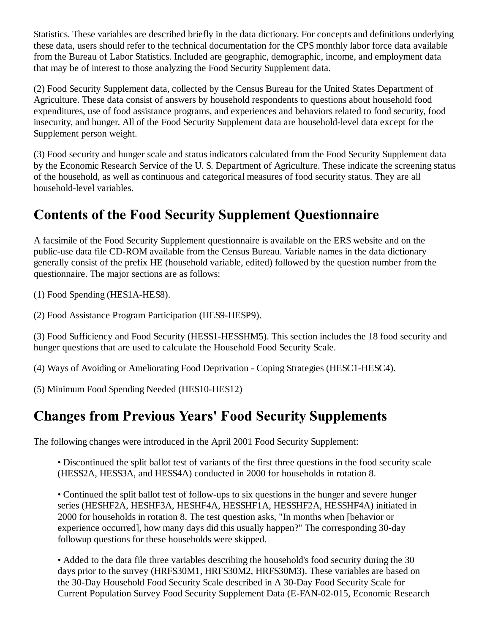Statistics. These variables are described briefly in the data dictionary. For concepts and definitions underlying these data, users should refer to the technical documentation for the CPS monthly labor force data available from the Bureau of Labor Statistics. Included are geographic, demographic, income, and employment data that may be of interest to those analyzing the Food Security Supplement data.

(2) Food Security Supplement data, collected by the Census Bureau for the United States Department of Agriculture. These data consist of answers by household respondents to questions about household food expenditures, use of food assistance programs, and experiences and behaviors related to food security, food insecurity, and hunger. All of the Food Security Supplement data are household-level data except for the Supplement person weight.

(3) Food security and hunger scale and status indicators calculated from the Food Security Supplement data by the Economic Research Service of the U. S. Department of Agriculture. These indicate the screening status of the household, as well as continuous and categorical measures of food security status. They are all household-level variables.

### **Contents of the Food Security Supplement Questionnaire**

A facsimile of the Food Security Supplement questionnaire is available on the ERS website and on the public-use data file CD-ROM available from the Census Bureau. Variable names in the data dictionary generally consist of the prefix HE (household variable, edited) followed by the question number from the questionnaire. The major sections are as follows:

(1) Food Spending (HES1A-HES8).

(2) Food Assistance Program Participation (HES9-HESP9).

(3) Food Sufficiency and Food Security (HESS1-HESSHM5). This section includes the 18 food security and hunger questions that are used to calculate the Household Food Security Scale.

(4) Ways of Avoiding or Ameliorating Food Deprivation - Coping Strategies (HESC1-HESC4).

(5) Minimum Food Spending Needed (HES10-HES12)

#### **Changes from Previous Years' Food Security Supplements**

The following changes were introduced in the April 2001 Food Security Supplement:

• Discontinued the split ballot test of variants of the first three questions in the food security scale (HESS2A, HESS3A, and HESS4A) conducted in 2000 for households in rotation 8.

• Continued the split ballot test of follow-ups to six questions in the hunger and severe hunger series (HESHF2A, HESHF3A, HESHF4A, HESSHF1A, HESSHF2A, HESSHF4A) initiated in 2000 for households in rotation 8. The test question asks, "In months when [behavior or experience occurred], how many days did this usually happen?" The corresponding 30-day followup questions for these households were skipped.

• Added to the data file three variables describing the household's food security during the 30 days prior to the survey (HRFS30M1, HRFS30M2, HRFS30M3). These variables are based on the 30-Day Household Food Security Scale described in A 30-Day Food Security Scale for Current Population Survey Food Security Supplement Data (E-FAN-02-015, Economic Research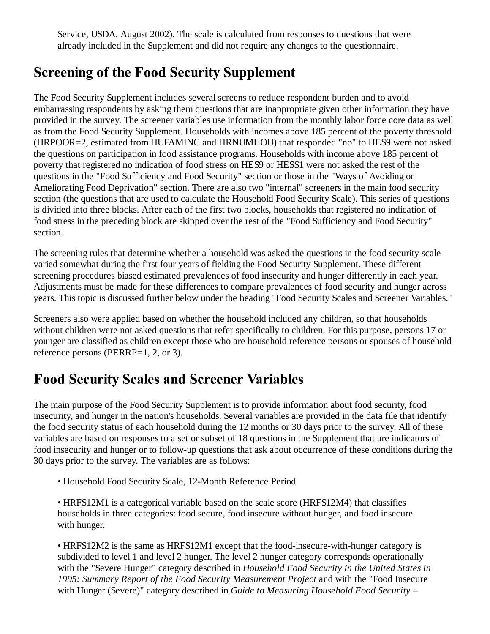Service, USDA, August 2002). The scale is calculated from responses to questions that were already included in the Supplement and did not require any changes to the questionnaire.

#### **Screening of the Food Security Supplement**

The Food Security Supplement includes several screens to reduce respondent burden and to avoid embarrassing respondents by asking them questions that are inappropriate given other information they have provided in the survey. The screener variables use information from the monthly labor force core data as well as from the Food Security Supplement. Households with incomes above 185 percent of the poverty threshold (HRPOOR=2, estimated from HUFAMINC and HRNUMHOU) that responded "no" to HES9 were not asked the questions on participation in food assistance programs. Households with income above 185 percent of poverty that registered no indication of food stress on HES9 or HESS1 were not asked the rest of the questions in the "Food Sufficiency and Food Security" section or those in the "Ways of Avoiding or Ameliorating Food Deprivation" section. There are also two "internal" screeners in the main food security section (the questions that are used to calculate the Household Food Security Scale). This series of questions is divided into three blocks. After each of the first two blocks, households that registered no indication of food stress in the preceding block are skipped over the rest of the "Food Sufficiency and Food Security" section.

The screening rules that determine whether a household was asked the questions in the food security scale varied somewhat during the first four years of fielding the Food Security Supplement. These different screening procedures biased estimated prevalences of food insecurity and hunger differently in each year. Adjustments must be made for these differences to compare prevalences of food security and hunger across years. This topic is discussed further below under the heading "Food Security Scales and Screener Variables."

Screeners also were applied based on whether the household included any children, so that households without children were not asked questions that refer specifically to children. For this purpose, persons 17 or younger are classified as children except those who are household reference persons or spouses of household reference persons (PERRP=1, 2, or 3).

# **Food Security Scales and Screener Variables**

The main purpose of the Food Security Supplement is to provide information about food security, food insecurity, and hunger in the nation's households. Several variables are provided in the data file that identify the food security status of each household during the 12 months or 30 days prior to the survey. All of these variables are based on responses to a set or subset of 18 questions in the Supplement that are indicators of food insecurity and hunger or to follow-up questions that ask about occurrence of these conditions during the 30 days prior to the survey. The variables are as follows:

- Household Food Security Scale, 12-Month Reference Period
- HRFS12M1 is a categorical variable based on the scale score (HRFS12M4) that classifies households in three categories: food secure, food insecure without hunger, and food insecure with hunger.

• HRFS12M2 is the same as HRFS12M1 except that the food-insecure-with-hunger category is subdivided to level 1 and level 2 hunger. The level 2 hunger category corresponds operationally with the "Severe Hunger" category described in *Household Food Security in the United States in 1995: Summary Report of the Food Security Measurement Project* and with the "Food Insecure with Hunger (Severe)" category described in *Guide to Measuring Household Food Security –*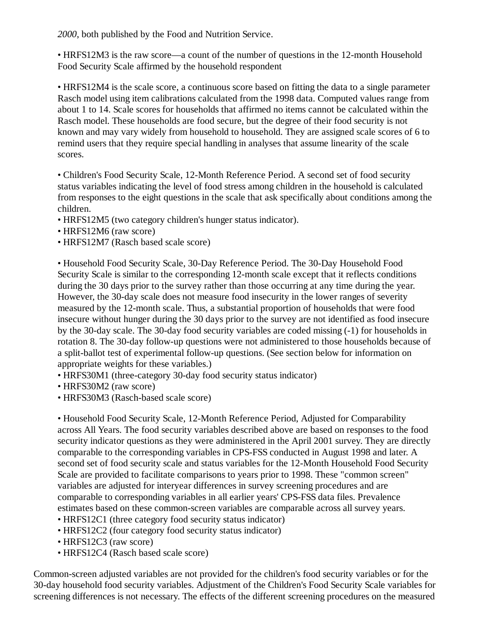*2000*, both published by the Food and Nutrition Service.

• HRFS12M3 is the raw score—a count of the number of questions in the 12-month Household Food Security Scale affirmed by the household respondent

• HRFS12M4 is the scale score, a continuous score based on fitting the data to a single parameter Rasch model using item calibrations calculated from the 1998 data. Computed values range from about 1 to 14. Scale scores for households that affirmed no items cannot be calculated within the Rasch model. These households are food secure, but the degree of their food security is not known and may vary widely from household to household. They are assigned scale scores of 6 to remind users that they require special handling in analyses that assume linearity of the scale scores.

• Children's Food Security Scale, 12-Month Reference Period. A second set of food security status variables indicating the level of food stress among children in the household is calculated from responses to the eight questions in the scale that ask specifically about conditions among the children.

- HRFS12M5 (two category children's hunger status indicator).
- HRFS12M6 (raw score)
- HRFS12M7 (Rasch based scale score)

• Household Food Security Scale, 30-Day Reference Period. The 30-Day Household Food Security Scale is similar to the corresponding 12-month scale except that it reflects conditions during the 30 days prior to the survey rather than those occurring at any time during the year. However, the 30-day scale does not measure food insecurity in the lower ranges of severity measured by the 12-month scale. Thus, a substantial proportion of households that were food insecure without hunger during the 30 days prior to the survey are not identified as food insecure by the 30-day scale. The 30-day food security variables are coded missing (-1) for households in rotation 8. The 30-day follow-up questions were not administered to those households because of a split-ballot test of experimental follow-up questions. (See section below for information on appropriate weights for these variables.)

- HRFS30M1 (three-category 30-day food security status indicator)
- HRFS30M2 (raw score)
- HRFS30M3 (Rasch-based scale score)

• Household Food Security Scale, 12-Month Reference Period, Adjusted for Comparability across All Years. The food security variables described above are based on responses to the food security indicator questions as they were administered in the April 2001 survey. They are directly comparable to the corresponding variables in CPS-FSS conducted in August 1998 and later. A second set of food security scale and status variables for the 12-Month Household Food Security Scale are provided to facilitate comparisons to years prior to 1998. These "common screen" variables are adjusted for interyear differences in survey screening procedures and are comparable to corresponding variables in all earlier years' CPS-FSS data files. Prevalence estimates based on these common-screen variables are comparable across all survey years.

- HRFS12C1 (three category food security status indicator)
- HRFS12C2 (four category food security status indicator)
- HRFS12C3 (raw score)
- HRFS12C4 (Rasch based scale score)

Common-screen adjusted variables are not provided for the children's food security variables or for the 30-day household food security variables. Adjustment of the Children's Food Security Scale variables for screening differences is not necessary. The effects of the different screening procedures on the measured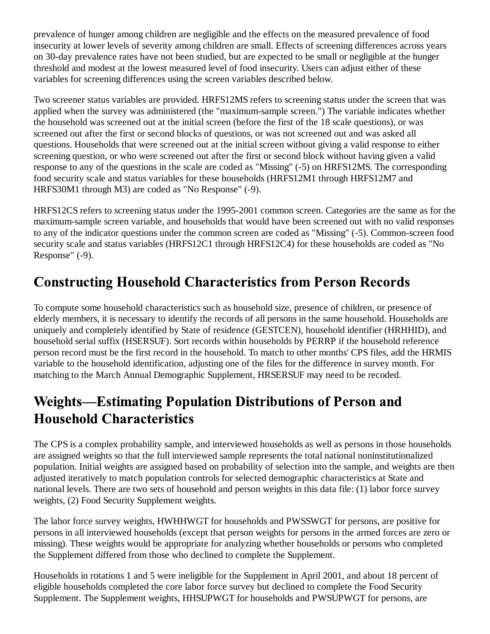prevalence of hunger among children are negligible and the effects on the measured prevalence of food insecurity at lower levels of severity among children are small. Effects of screening differences across years on 30-day prevalence rates have not been studied, but are expected to be small or negligible at the hunger threshold and modest at the lowest measured level of food insecurity. Users can adjust either of these variables for screening differences using the screen variables described below.

Two screener status variables are provided. HRFS12MS refers to screening status under the screen that was applied when the survey was administered (the "maximum-sample screen.") The variable indicates whether the household was screened out at the initial screen (before the first of the 18 scale questions), or was screened out after the first or second blocks of questions, or was not screened out and was asked all questions. Households that were screened out at the initial screen without giving a valid response to either screening question, or who were screened out after the first or second block without having given a valid response to any of the questions in the scale are coded as "Missing" (-5) on HRFS12MS. The corresponding food security scale and status variables for these households (HRFS12M1 through HRFS12M7 and HRFS30M1 through M3) are coded as "No Response" (-9).

HRFS12CS refers to screening status under the 1995-2001 common screen. Categories are the same as for the maximum-sample screen variable, and households that would have been screened out with no valid responses to any of the indicator questions under the common screen are coded as "Missing" (-5). Common-screen food security scale and status variables (HRFS12C1 through HRFS12C4) for these households are coded as "No Response" (-9).

## **Constructing Household Characteristics from Person Records**

To compute some household characteristics such as household size, presence of children, or presence of elderly members, it is necessary to identify the records of all persons in the same household. Households are uniquely and completely identified by State of residence (GESTCEN), household identifier (HRHHID), and household serial suffix (HSERSUF). Sort records within households by PERRP if the household reference person record must be the first record in the household. To match to other months' CPS files, add the HRMIS variable to the household identification, adjusting one of the files for the difference in survey month. For matching to the March Annual Demographic Supplement, HRSERSUF may need to be recoded.

### **Weights-Estimating Population Distributions of Person and Household Characteristics**

The CPS is a complex probability sample, and interviewed households as well as persons in those households are assigned weights so that the full interviewed sample represents the total national noninstitutionalized population. Initial weights are assigned based on probability of selection into the sample, and weights are then adjusted iteratively to match population controls for selected demographic characteristics at State and national levels. There are two sets of household and person weights in this data file: (1) labor force survey weights, (2) Food Security Supplement weights.

The labor force survey weights, HWHHWGT for households and PWSSWGT for persons, are positive for persons in all interviewed households (except that person weights for persons in the armed forces are zero or missing). These weights would be appropriate for analyzing whether households or persons who completed the Supplement differed from those who declined to complete the Supplement.

Households in rotations 1 and 5 were ineligible for the Supplement in April 2001, and about 18 percent of eligible households completed the core labor force survey but declined to complete the Food Security Supplement. The Supplement weights, HHSUPWGT for households and PWSUPWGT for persons, are